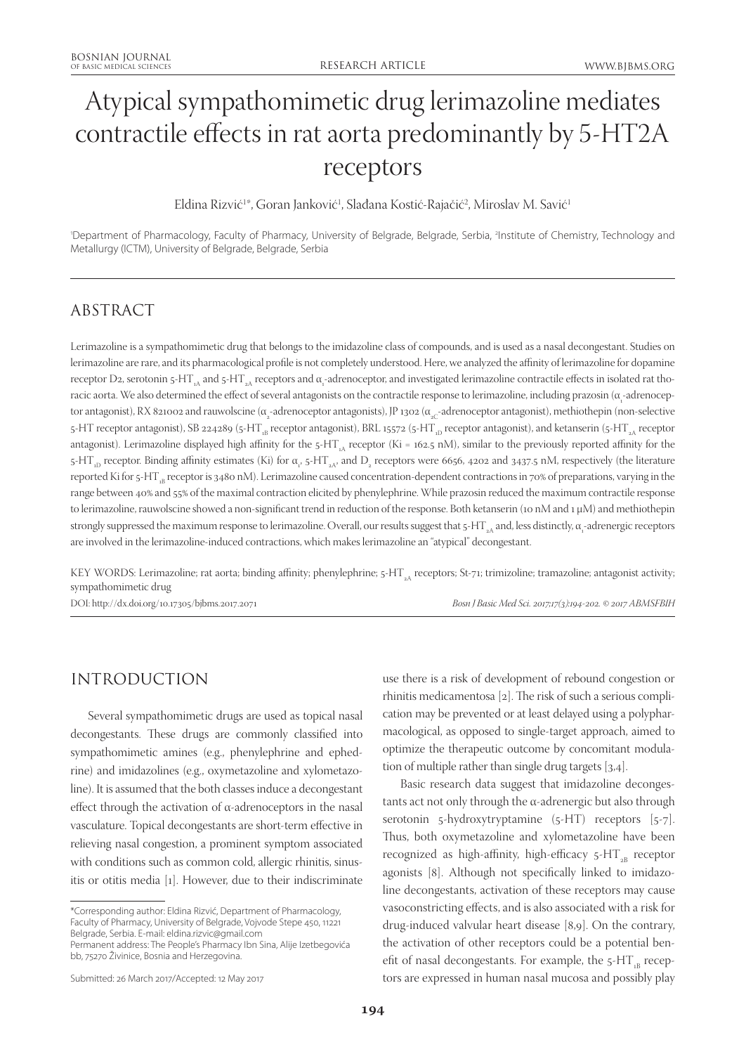# Atypical sympathomimetic drug lerimazoline mediates contractile effects in rat aorta predominantly by 5-HT2A receptors

Eldina Rizvić<sup>1</sup>\*, Goran Janković<sup>1</sup>, Slađana Kostić-Rajačić<sup>2</sup>, Miroslav M. Savić<sup>1</sup>

'Department of Pharmacology, Faculty of Pharmacy, University of Belgrade, Belgrade, Serbia, <sup>2</sup>Institute of Chemistry, Technology and Metallurgy (ICTM), University of Belgrade, Belgrade, Serbia

## ABSTRACT

Lerimazoline is a sympathomimetic drug that belongs to the imidazoline class of compounds, and is used as a nasal decongestant. Studies on lerimazoline are rare, and its pharmacological profile is not completely understood. Here, we analyzed the affinity of lerimazoline for dopamine receptor D2, serotonin 5-HT<sub>1A</sub> and 5-HT<sub>2A</sub> receptors and α<sub>1</sub>-adrenoceptor, and investigated lerimazoline contractile effects in isolated rat thoracic aorta. We also determined the effect of several antagonists on the contractile response to lerimazoline, including prazosin (α<sub>1</sub>-adrenoceptor antagonist), RX 821002 and rauwolscine (α<sub>2</sub>-adrenoceptor antagonists), JP 1302 (α<sub>2C</sub>-adrenoceptor antagonist), methiothepin (non-selective 5-HT receptor antagonist), SB 224289 (5-HT<sub>1B</sub> receptor antagonist), BRL 15572 (5-HT<sub>1D</sub> receptor antagonist), and ketanserin (5-HT<sub>2A</sub> receptor antagonist). Lerimazoline displayed high affinity for the  $5-HT_A$  receptor (Ki = 162.5 nM), similar to the previously reported affinity for the 5-HT<sub>1D</sub> receptor. Binding affinity estimates (Ki) for α<sub>1</sub>, 5-HT<sub>2A</sub>, and D<sub>2</sub> receptors were 6656, 4202 and 3437.5 nM, respectively (the literature reported Ki for 5-HT<sub>1</sub> receptor is 3480 nM). Lerimazoline caused concentration-dependent contractions in 70% of preparations, varying in the range between 40% and 55% of the maximal contraction elicited by phenylephrine. While prazosin reduced the maximum contractile response to lerimazoline, rauwolscine showed a non-significant trend in reduction of the response. Both ketanserin (10 nM and 1 μM) and methiothepin strongly suppressed the maximum response to lerimazoline. Overall, our results suggest that 5-HT  $_{\rm a\lambda}$  and, less distinctly,  $\alpha_{\rm i}$ -adrenergic receptors are involved in the lerimazoline-induced contractions, which makes lerimazoline an "atypical" decongestant.

KEY WORDS: Lerimazoline; rat aorta; binding affinity; phenylephrine; 5-HT<sub>3</sub> receptors; St-71; trimizoline; tramazoline; antagonist activity; sympathomimetic drug

DOI: http://dx.doi.org/10.17305/bjbms.2017.2071 *Bosn J Basic Med Sci. 2017;17(3):194-202. © 2017 ABMSFBIH*

# INTRODUCTION

Several sympathomimetic drugs are used as topical nasal decongestants. These drugs are commonly classified into sympathomimetic amines (e.g., phenylephrine and ephedrine) and imidazolines (e.g., oxymetazoline and xylometazoline). It is assumed that the both classes induce a decongestant effect through the activation of  $α$ -adrenoceptors in the nasal vasculature. Topical decongestants are short-term effective in relieving nasal congestion, a prominent symptom associated with conditions such as common cold, allergic rhinitis, sinusitis or otitis media [1]. However, due to their indiscriminate

use there is a risk of development of rebound congestion or rhinitis medicamentosa [2]. The risk of such a serious complication may be prevented or at least delayed using a polypharmacological, as opposed to single-target approach, aimed to optimize the therapeutic outcome by concomitant modulation of multiple rather than single drug targets [3,4].

Basic research data suggest that imidazoline decongestants act not only through the α-adrenergic but also through serotonin 5-hydroxytryptamine (5-HT) receptors [5-7]. Thus, both oxymetazoline and xylometazoline have been recognized as high-affinity, high-efficacy  $5-HT_{2B}$  receptor agonists [8]. Although not specifically linked to imidazoline decongestants, activation of these receptors may cause vasoconstricting effects, and is also associated with a risk for drug-induced valvular heart disease [8,9]. On the contrary, the activation of other receptors could be a potential benefit of nasal decongestants. For example, the  $5-HT_{B}$  receptors are expressed in human nasal mucosa and possibly play

<sup>\*</sup>Corresponding author: Eldina Rizvić, Department of Pharmacology, Faculty of Pharmacy, University of Belgrade, Vojvode Stepe 450, 11221 Belgrade, Serbia. E-mail: eldina.rizvic@gmail.com

Permanent address: The People's Pharmacy Ibn Sina, Alije Izetbegovića bb, 75270 Živinice, Bosnia and Herzegovina.

Submitted: 26 March 2017/Accepted: 12 May 2017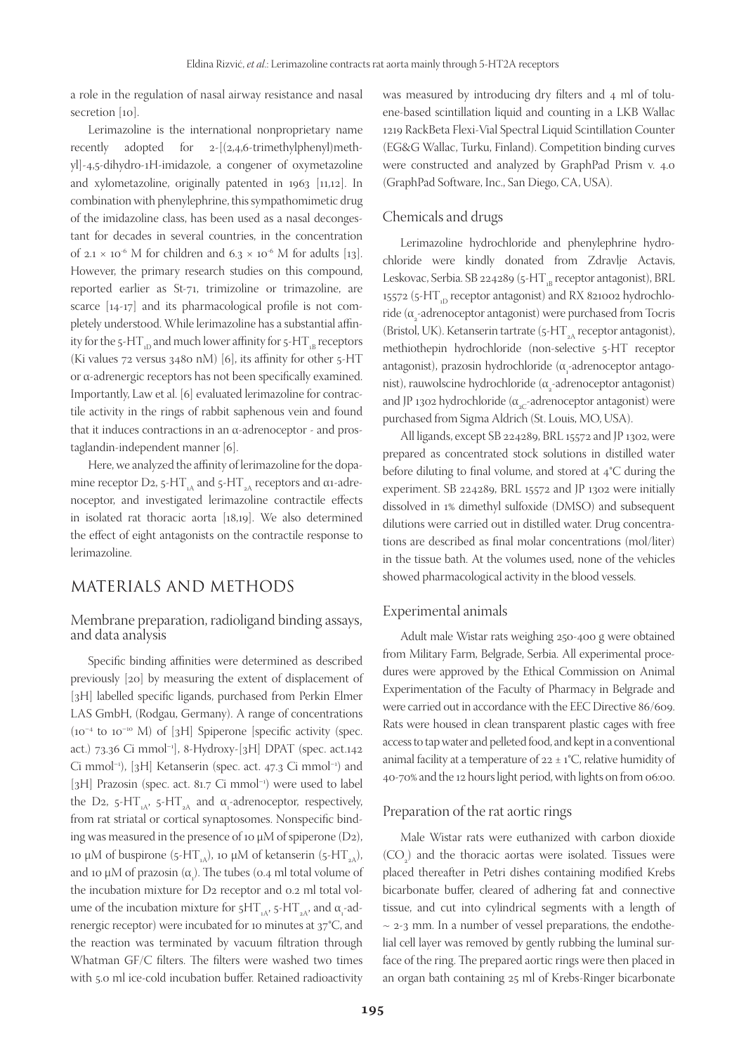a role in the regulation of nasal airway resistance and nasal secretion [10].

Lerimazoline is the international nonproprietary name recently adopted for  $2-[2,4,6-$ trimethylphenyl)methyl]-4,5-dihydro-1H-imidazole, a congener of oxymetazoline and xylometazoline, originally patented in 1963 [11,12]. In combination with phenylephrine, this sympathomimetic drug of the imidazoline class, has been used as a nasal decongestant for decades in several countries, in the concentration of 2.1 × 10<sup>-6</sup> M for children and 6.3 × 10<sup>-6</sup> M for adults [13]. However, the primary research studies on this compound, reported earlier as St-71, trimizoline or trimazoline, are scarce [14-17] and its pharmacological profile is not completely understood. While lerimazoline has a substantial affinity for the 5-HT<sub>1D</sub> and much lower affinity for  $5$ -HT<sub>1B</sub> receptors (Ki values 72 versus 3480 nM) [6], its affinity for other 5-HT or α-adrenergic receptors has not been specifically examined. Importantly, Law et al. [6] evaluated lerimazoline for contractile activity in the rings of rabbit saphenous vein and found that it induces contractions in an α-adrenoceptor - and prostaglandin-independent manner [6].

Here, we analyzed the affinity of lerimazoline for the dopamine receptor D2, 5-HT<sub>1A</sub> and 5-HT<sub>2A</sub> receptors and α1-adrenoceptor, and investigated lerimazoline contractile effects in isolated rat thoracic aorta [18,19]. We also determined the effect of eight antagonists on the contractile response to lerimazoline.

## MATERIALS AND METHODS

#### Membrane preparation, radioligand binding assays, and data analysis

Specific binding affinities were determined as described previously [20] by measuring the extent of displacement of [3H] labelled specific ligands, purchased from Perkin Elmer LAS GmbH, (Rodgau, Germany). A range of concentrations (10–4 to 10–10 M) of [3H] Spiperone [specific activity (spec. act.) 73.36 Ci mmol–1], 8-Hydroxy-[3H] DPAT (spec. act.142 Ci mmol–1), [3H] Ketanserin (spec. act. 47.3 Ci mmol–1) and [3H] Prazosin (spec. act. 81.7 Ci mmol<sup>-1</sup>) were used to label the D2, 5-HT<sub>1A</sub>, 5-HT<sub>2A</sub> and α<sub>1</sub>-adrenoceptor, respectively, from rat striatal or cortical synaptosomes. Nonspecific binding was measured in the presence of 10  $\mu$ M of spiperone (D2), 10 μM of buspirone (5-HT<sub>1A</sub>), 10 μM of ketanserin (5-HT<sub>2A</sub>), and 10  $\mu$ M of prazosin ( $\alpha$ <sub>1</sub>). The tubes (0.4 ml total volume of the incubation mixture for D2 receptor and 0.2 ml total volume of the incubation mixture for 5HT<sub>1A</sub>, 5-HT<sub>2A</sub>, and  $\alpha_{\text{\tiny{1}}}$ -adrenergic receptor) were incubated for 10 minutes at 37°C, and the reaction was terminated by vacuum filtration through Whatman GF/C filters. The filters were washed two times with 5.0 ml ice-cold incubation buffer. Retained radioactivity

was measured by introducing dry filters and 4 ml of toluene-based scintillation liquid and counting in a LKB Wallac 1219 RackBeta Flexi-Vial Spectral Liquid Scintillation Counter (EG&G Wallac, Turku, Finland). Competition binding curves were constructed and analyzed by GraphPad Prism v. 4.0 (GraphPad Software, Inc., San Diego, CA, USA).

#### Chemicals and drugs

Lerimazoline hydrochloride and phenylephrine hydrochloride were kindly donated from Zdravlje Actavis, Leskovac, Serbia. SB 224289 (5-HT $_{\text{B}}$  receptor antagonist), BRL 15572 (5-HT<sub>JD</sub> receptor antagonist) and RX 821002 hydrochloride (α $_{2}$ -adrenoceptor antagonist) were purchased from Tocris (Bristol, UK). Ketanserin tartrate (5-HT<sub>3</sub>A receptor antagonist), methiothepin hydrochloride (non-selective 5-HT receptor  $\alpha_{\text{a}}$ antagonist), prazosin hydrochloride ( $\alpha_{\text{a}}$ -adrenoceptor antagonist), rauwolscine hydrochloride (α<sub>2</sub>-adrenoceptor antagonist) and JP 1302 hydrochloride ( $\alpha_{c}$ -adrenoceptor antagonist) were purchased from Sigma Aldrich (St. Louis, MO, USA).

All ligands, except SB 224289, BRL 15572 and JP 1302, were prepared as concentrated stock solutions in distilled water before diluting to final volume, and stored at 4°C during the experiment. SB 224289, BRL 15572 and JP 1302 were initially dissolved in 1% dimethyl sulfoxide (DMSO) and subsequent dilutions were carried out in distilled water. Drug concentrations are described as final molar concentrations (mol/liter) in the tissue bath. At the volumes used, none of the vehicles showed pharmacological activity in the blood vessels.

#### Experimental animals

Adult male Wistar rats weighing 250-400 g were obtained from Military Farm, Belgrade, Serbia. All experimental procedures were approved by the Ethical Commission on Animal Experimentation of the Faculty of Pharmacy in Belgrade and were carried out in accordance with the EEC Directive 86/609. Rats were housed in clean transparent plastic cages with free access to tap water and pelleted food, and kept in a conventional animal facility at a temperature of  $22 \pm 1$ °C, relative humidity of 40-70% and the 12 hours light period, with lights on from 06:00.

#### Preparation of the rat aortic rings

Male Wistar rats were euthanized with carbon dioxide  $(CO_2)$  and the thoracic aortas were isolated. Tissues were placed thereafter in Petri dishes containing modified Krebs bicarbonate buffer, cleared of adhering fat and connective tissue, and cut into cylindrical segments with a length of  $\sim$  2-3 mm. In a number of vessel preparations, the endothelial cell layer was removed by gently rubbing the luminal surface of the ring. The prepared aortic rings were then placed in an organ bath containing 25 ml of Krebs-Ringer bicarbonate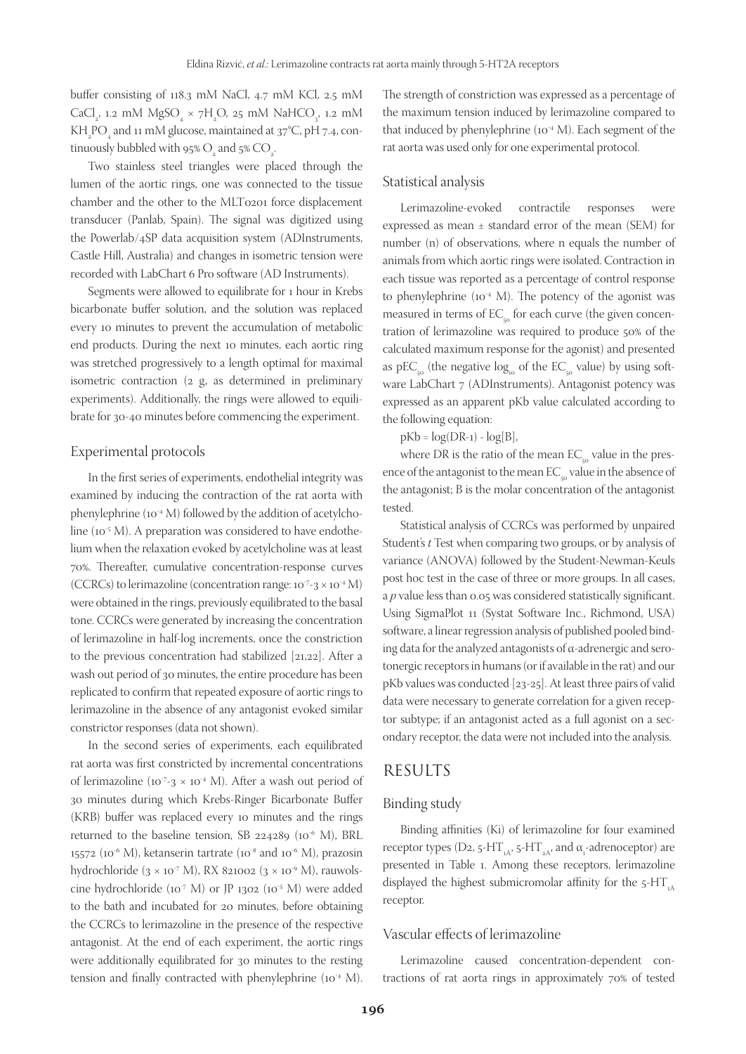buffer consisting of 118.3 mM NaCl, 4.7 mM KCl, 2.5 mM CaCl<sub>2</sub>, 1.2 mM  $MgSO<sub>4</sub> \times 7H<sub>2</sub>O$ , 25 mM NaHCO<sub>3</sub>, 1.2 mM  $\rm KH_{_2}PO_{_4}$  and 11 mM glucose, maintained at 37°C, pH 7.4, continuously bubbled with 95%  $\mathrm{O}_2^{}$  and 5%  $\mathrm{CO}_2^{}$ .

Two stainless steel triangles were placed through the lumen of the aortic rings, one was connected to the tissue chamber and the other to the MLT0201 force displacement transducer (Panlab, Spain). The signal was digitized using the Powerlab/4SP data acquisition system (ADInstruments, Castle Hill, Australia) and changes in isometric tension were recorded with LabChart 6 Pro software (AD Instruments).

Segments were allowed to equilibrate for 1 hour in Krebs bicarbonate buffer solution, and the solution was replaced every 10 minutes to prevent the accumulation of metabolic end products. During the next 10 minutes, each aortic ring was stretched progressively to a length optimal for maximal isometric contraction (2 g, as determined in preliminary experiments). Additionally, the rings were allowed to equilibrate for 30-40 minutes before commencing the experiment.

#### Experimental protocols

In the first series of experiments, endothelial integrity was examined by inducing the contraction of the rat aorta with phenylephrine (10<sup>-4</sup> M) followed by the addition of acetylcholine ( $10^{-5}$  M). A preparation was considered to have endothelium when the relaxation evoked by acetylcholine was at least 70%. Thereafter, cumulative concentration-response curves (CCRCs) to lerimazoline (concentration range:  $10^{-7}$ - $3 \times 10^{-4}$  M) were obtained in the rings, previously equilibrated to the basal tone. CCRCs were generated by increasing the concentration of lerimazoline in half-log increments, once the constriction to the previous concentration had stabilized [21,22]. After a wash out period of 30 minutes, the entire procedure has been replicated to confirm that repeated exposure of aortic rings to lerimazoline in the absence of any antagonist evoked similar constrictor responses (data not shown).

In the second series of experiments, each equilibrated rat aorta was first constricted by incremental concentrations of lerimazoline (10<sup>-7</sup>-3  $\times$  10<sup>-4</sup> M). After a wash out period of 30 minutes during which Krebs-Ringer Bicarbonate Buffer (KRB) buffer was replaced every 10 minutes and the rings returned to the baseline tension, SB 224289  $(10^{-6}$  M), BRL 15572 (10<sup>-6</sup> M), ketanserin tartrate (10<sup>-8</sup> and 10<sup>-6</sup> M), prazosin hydrochloride  $(3 \times 10^{-7} \text{ M})$ , RX 821002  $(3 \times 10^{-9} \text{ M})$ , rauwolscine hydrochloride (10-7 M) or JP 1302 (10-5 M) were added to the bath and incubated for 20 minutes, before obtaining the CCRCs to lerimazoline in the presence of the respective antagonist. At the end of each experiment, the aortic rings were additionally equilibrated for 30 minutes to the resting tension and finally contracted with phenylephrine (10<sup>-4</sup> M).

The strength of constriction was expressed as a percentage of the maximum tension induced by lerimazoline compared to that induced by phenylephrine  $(10^{-4} M)$ . Each segment of the rat aorta was used only for one experimental protocol.

#### Statistical analysis

Lerimazoline-evoked contractile responses were expressed as mean ± standard error of the mean (SEM) for number (n) of observations, where n equals the number of animals from which aortic rings were isolated. Contraction in each tissue was reported as a percentage of control response to phenylephrine  $(10^{-4} M)$ . The potency of the agonist was measured in terms of  $EC_{50}$  for each curve (the given concentration of lerimazoline was required to produce 50% of the calculated maximum response for the agonist) and presented as  $\textrm{pEC}_{_{\textrm{50}}}$  (the negative  $\textrm{log}_{_{\textrm{10}}}$  of the  $\textrm{EC}_{_{\textrm{c}\mathrm{o}}}$  value) by using software LabChart 7 (ADInstruments). Antagonist potency was expressed as an apparent pKb value calculated according to the following equation:

 $pKb = log(DR-1) - log[B],$ 

where DR is the ratio of the mean  $EC_{50}$  value in the presence of the antagonist to the mean  $EC_{50}$  value in the absence of the antagonist; B is the molar concentration of the antagonist tested.

Statistical analysis of CCRCs was performed by unpaired Student's *t* Test when comparing two groups, or by analysis of variance (ANOVA) followed by the Student-Newman-Keuls post hoc test in the case of three or more groups. In all cases, a *p* value less than 0.05 was considered statistically significant. Using SigmaPlot 11 (Systat Software Inc., Richmond, USA) software, a linear regression analysis of published pooled binding data for the analyzed antagonists of α-adrenergic and serotonergic receptors in humans (or if available in the rat) and our pKb values was conducted [23-25]. At least three pairs of valid data were necessary to generate correlation for a given receptor subtype; if an antagonist acted as a full agonist on a secondary receptor, the data were not included into the analysis.

### RESULTS

#### Binding study

Binding affinities (Ki) of lerimazoline for four examined receptor types (D2, 5-HT<sub>1A</sub>, 5-HT<sub>2A</sub>, and α<sub>1</sub>-adrenoceptor) are presented in Table 1. Among these receptors, lerimazoline displayed the highest submicromolar affinity for the  $5-HT<sub>A</sub>$ receptor.

#### Vascular effects of lerimazoline

Lerimazoline caused concentration-dependent contractions of rat aorta rings in approximately 70% of tested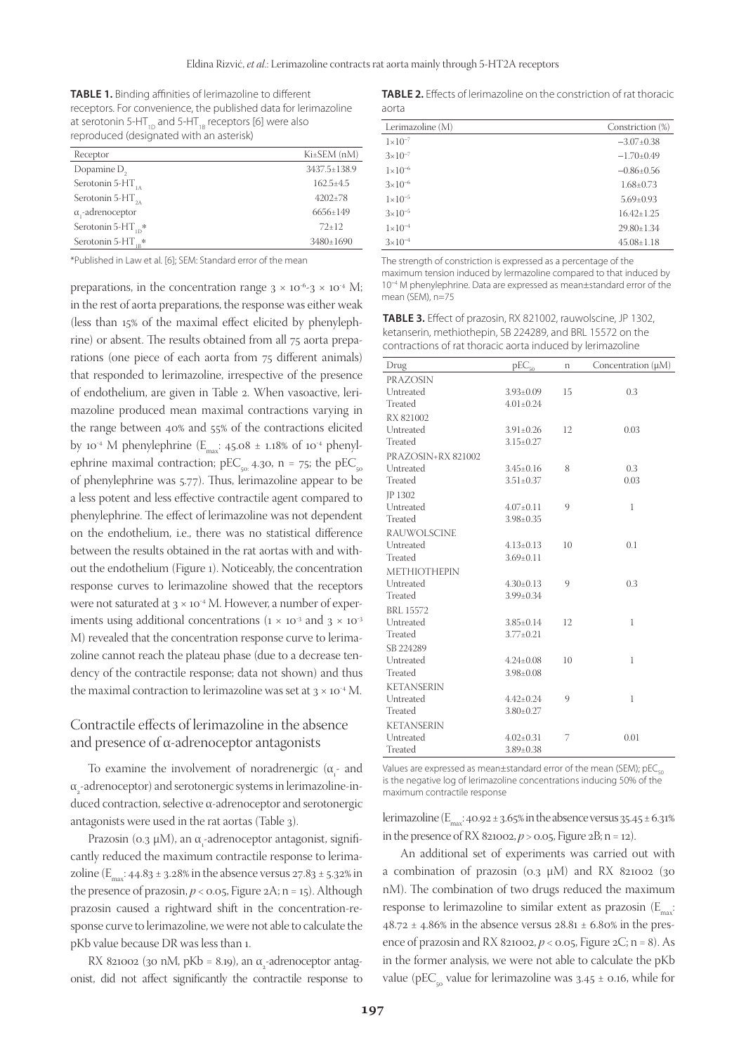**TABLE 1.** Binding affinities of lerimazoline to different receptors. For convenience, the published data for lerimazoline at serotonin 5-HT<sub>1D</sub> and 5-HT<sub>1B</sub> receptors [6] were also reproduced (designated with an asterisk)

| Receptor                 | $Ki±SEM$ (nM)  |
|--------------------------|----------------|
| Dopamine D <sub>2</sub>  | 3437.5±138.9   |
| Serotonin 5- $HT_{1A}$   | $162.5 + 4.5$  |
| Serotonin 5- $HT_{2A}$   | $4202+78$      |
| $\alpha$ ,-adrenoceptor  | $6656 \pm 149$ |
| Serotonin 5- $HT_{1D}$ * | $72+12$        |
| Serotonin 5- $HT_{1p}$ * | 3480±1690      |

\*Published in Law et al. [6]; SEM: Standard error of the mean

preparations, in the concentration range  $3 \times 10^{-6}$ - $3 \times 10^{-4}$  M; in the rest of aorta preparations, the response was either weak (less than 15% of the maximal effect elicited by phenylephrine) or absent. The results obtained from all 75 aorta preparations (one piece of each aorta from 75 different animals) that responded to lerimazoline, irrespective of the presence of endothelium, are given in Table 2. When vasoactive, lerimazoline produced mean maximal contractions varying in the range between 40% and 55% of the contractions elicited by 10<sup>-4</sup> M phenylephrine  $(E_{\text{max}}: 45.08 \pm 1.18\%$  of 10<sup>-4</sup> phenylephrine maximal contraction;  $pEC_{\text{eq}}$  4.30, n = 75; the  $pEC_{\text{eq}}$ of phenylephrine was 5.77). Thus, lerimazoline appear to be a less potent and less effective contractile agent compared to phenylephrine. The effect of lerimazoline was not dependent on the endothelium, i.e., there was no statistical difference between the results obtained in the rat aortas with and without the endothelium (Figure 1). Noticeably, the concentration response curves to lerimazoline showed that the receptors were not saturated at  $3 \times 10^{-4}$  M. However, a number of experiments using additional concentrations ( $1 \times 10^{-3}$  and  $3 \times 10^{-3}$ ) M) revealed that the concentration response curve to lerimazoline cannot reach the plateau phase (due to a decrease tendency of the contractile response; data not shown) and thus the maximal contraction to lerimazoline was set at  $3 \times 10^{-4}$  M.

#### Contractile effects of lerimazoline in the absence and presence of α-adrenoceptor antagonists

To examine the involvement of noradrenergic  $(\alpha_{1}$  and  $\alpha_{_2}$ -adrenoceptor) and serotonergic systems in lerimazoline-induced contraction, selective α-adrenoceptor and serotonergic antagonists were used in the rat aortas (Table 3).

Prazosin (o.3 μM), an α<sub>1</sub>-adrenoceptor antagonist, significantly reduced the maximum contractile response to lerimazoline  $(E_{\text{max}}: 44.83 \pm 3.28\%)$  in the absence versus 27.83  $\pm$  5.32% in the presence of prazosin,  $p < 0.05$ , Figure 2A; n = 15). Although prazosin caused a rightward shift in the concentration-response curve to lerimazoline, we were not able to calculate the pKb value because DR was less than 1.

RX 821002 (30 nM, pKb = 8.19), an  $\alpha_{2}$ -adrenoceptor antagonist, did not affect significantly the contractile response to

**TABLE 2.** Effects of lerimazoline on the constriction of rat thoracic aorta

| Lerimazoline (M)   | Constriction (%) |  |  |  |
|--------------------|------------------|--|--|--|
| $1 \times 10^{-7}$ | $-3.07 \pm 0.38$ |  |  |  |
| $3 \times 10^{-7}$ | $-1.70\pm0.49$   |  |  |  |
| $1 \times 10^{-6}$ | $-0.86 \pm 0.56$ |  |  |  |
| $3\times10^{-6}$   | $1.68 \pm 0.73$  |  |  |  |
| $1 \times 10^{-5}$ | $5.69 \pm 0.93$  |  |  |  |
| $3 \times 10^{-5}$ | $16.42 + 1.25$   |  |  |  |
| $1 \times 10^{-4}$ | 29.80+1.34       |  |  |  |
| $3 \times 10^{-4}$ | $45.08 \pm 1.18$ |  |  |  |

The strength of constriction is expressed as a percentage of the maximum tension induced by lermazoline compared to that induced by 10<sup>−</sup><sup>4</sup> M phenylephrine. Data are expressed as mean±standard error of the mean (SFM), n=75

**TABLE 3.** Effect of prazosin, RX 821002, rauwolscine, JP 1302, ketanserin, methiothepin, SB 224289, and BRL 15572 on the contractions of rat thoracic aorta induced by lerimazoline

| Drug                | $pEC_{50}$      | n  | Concentration $(\mu M)$ |
|---------------------|-----------------|----|-------------------------|
| PRAZOSIN            |                 |    |                         |
| Untreated           | $3.93 \pm 0.09$ | 15 | 0.3                     |
| Treated             | $4.01 \pm 0.24$ |    |                         |
| RX 821002           |                 |    |                         |
| Untreated           | $3.91 \pm 0.26$ | 12 | 0.03                    |
| Treated             | $3.15 \pm 0.27$ |    |                         |
| PRAZOSIN+RX 821002  |                 |    |                         |
| Untreated           | $3.45 \pm 0.16$ | 8  | 0.3                     |
| Treated             | $3.51 \pm 0.37$ |    | 0.03                    |
| JP 1302             |                 |    |                         |
| Untreated           | $4.07 \pm 0.11$ | 9  | 1                       |
| Treated             | $3.98 \pm 0.35$ |    |                         |
| <b>RAUWOLSCINE</b>  |                 |    |                         |
| Untreated           | $4.13 \pm 0.13$ | 10 | 0.1                     |
| Treated             | $3.69 \pm 0.11$ |    |                         |
| <b>METHIOTHEPIN</b> |                 |    |                         |
| Untreated           | $4.30 \pm 0.13$ | 9  | 0.3                     |
| Treated             | $3.99 \pm 0.34$ |    |                         |
| <b>BRL 15572</b>    |                 |    |                         |
| Untreated           | $3.85 \pm 0.14$ | 12 | 1                       |
| Treated             | $3.77 \pm 0.21$ |    |                         |
| SB 224289           |                 |    |                         |
| Untreated           | $4.24 \pm 0.08$ | 10 | 1                       |
| Treated             | $3.98 \pm 0.08$ |    |                         |
| <b>KETANSERIN</b>   |                 |    |                         |
| Untreated           | $4.42 \pm 0.24$ | 9  | 1                       |
| Treated             | $3.80 \pm 0.27$ |    |                         |
| <b>KETANSERIN</b>   |                 |    |                         |
| Untreated           | $4.02 \pm 0.31$ | 7  | 0.01                    |
| Treated             | $3.89 \pm 0.38$ |    |                         |
|                     |                 |    |                         |

Values are expressed as mean $\pm$ standard error of the mean (SEM); pEC<sub> $_{cr}$ </sub> is the negative log of lerimazoline concentrations inducing 50% of the maximum contractile response

lerimazoline  $(E_{\text{max}}: 40.92 \pm 3.65\%$  in the absence versus  $35.45 \pm 6.31\%$ in the presence of RX 821002,  $p > 0.05$ , Figure 2B; n = 12).

An additional set of experiments was carried out with a combination of prazosin  $(o.3 \mu M)$  and RX 821002  $(30 \mu M)$ nM). The combination of two drugs reduced the maximum response to lerimazoline to similar extent as prazosin  $(E_{\text{max}})$ .  $48.72 \pm 4.86\%$  in the absence versus  $28.81 \pm 6.80\%$  in the presence of prazosin and RX 821002,  $p < 0.05$ , Figure 2C; n = 8). As in the former analysis, we were not able to calculate the pKb value (pEC<sub>50</sub> value for lerimazoline was  $3.45 \pm 0.16$ , while for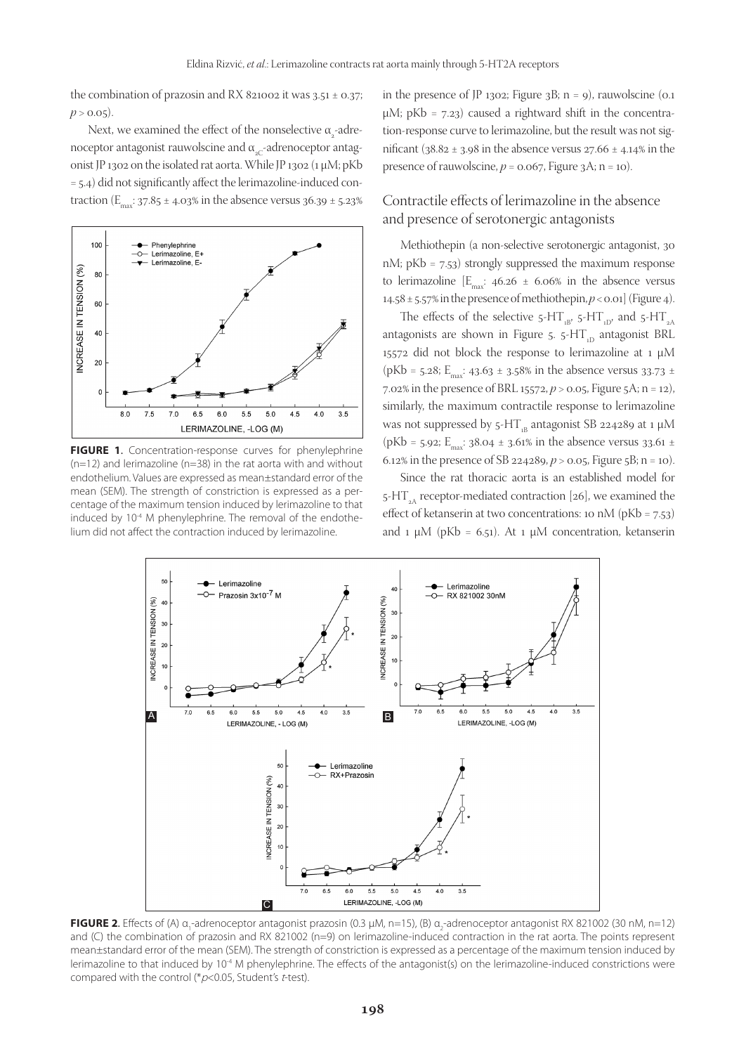the combination of prazosin and RX 821002 it was  $3.51 \pm 0.37$ ;  $p > 0.05$ ).

Next, we examined the effect of the nonselective  $\alpha_{_2}$ -adrenoceptor antagonist rauwolscine and  $\alpha_{c}$ -adrenoceptor antagonist JP 1302 on the isolated rat aorta. While JP 1302 (1 µM; pKb = 5.4) did not significantly affect the lerimazoline-induced contraction ( $E_{\text{max}}$ : 37.85 ± 4.03% in the absence versus 36.39 ± 5.23%



**FIGURE 1**. Concentration-response curves for phenylephrine  $(n=12)$  and lerimazoline ( $n=38$ ) in the rat aorta with and without endothelium. Values are expressed as mean±standard error of the mean (SEM). The strength of constriction is expressed as a percentage of the maximum tension induced by lerimazoline to that induced by 10<sup>-4</sup> M phenylephrine. The removal of the endothelium did not affect the contraction induced by lerimazoline.

in the presence of IP 1302; Figure 3B;  $n = 9$ ), rauwolscine (0.1)  $\mu$ M; pKb = 7.23) caused a rightward shift in the concentration-response curve to lerimazoline, but the result was not significant ( $38.82 \pm 3.98$  in the absence versus  $27.66 \pm 4.14\%$  in the presence of rauwolscine,  $p = 0.067$ , Figure 3A; n = 10).

## Contractile effects of lerimazoline in the absence and presence of serotonergic antagonists

Methiothepin (a non-selective serotonergic antagonist, 30 nM; pKb = 7.53) strongly suppressed the maximum response to lerimazoline  $[E_{\text{max}}: 46.26 \pm 6.06\%]$  in the absence versus 14.58  $\pm$  5.57% in the presence of methiothepin,  $p <$  0.01] (Figure 4).

The effects of the selective  $5-HT_{B}$ ,  $5-HT_{D}$ , and  $5-HT_{2A}$ antagonists are shown in Figure  $5.5$ -HT<sub>1D</sub> antagonist BRL 15572 did not block the response to lerimazoline at 1 µM (pKb = 5.28; E<sub>max</sub>: 43.63 ± 3.58% in the absence versus 33.73 ± 7.02% in the presence of BRL 15572, *p* > 0.05, Figure 5A; n = 12), similarly, the maximum contractile response to lerimazoline was not suppressed by  $5-HT_{B}$  antagonist SB 224289 at 1 µM (pKb = 5.92; E<sub>max</sub>: 38.04 ± 3.61% in the absence versus 33.61 ± 6.12% in the presence of SB 224289,  $p > 0.05$ , Figure 5B; n = 10).

Since the rat thoracic aorta is an established model for  $5$ -HT<sub>2A</sub> receptor-mediated contraction [26], we examined the effect of ketanserin at two concentrations: 10 nM (pKb = 7.53) and 1  $\mu$ M (pKb = 6.51). At 1  $\mu$ M concentration, ketanserin



**FIGURE 2.** Effects of (A) α<sub>1</sub>-adrenoceptor antagonist prazosin (0.3 μM, n=15), (B) α<sub>2</sub>-adrenoceptor antagonist RX 821002 (30 nM, n=12) and (C) the combination of prazosin and RX 821002 (n=9) on lerimazoline-induced contraction in the rat aorta. The points represent mean±standard error of the mean (SEM). The strength of constriction is expressed as a percentage of the maximum tension induced by lerimazoline to that induced by 10<sup>-4</sup> M phenylephrine. The effects of the antagonist(s) on the lerimazoline-induced constrictions were compared with the control ( $p$ <0.05, Student's t-test).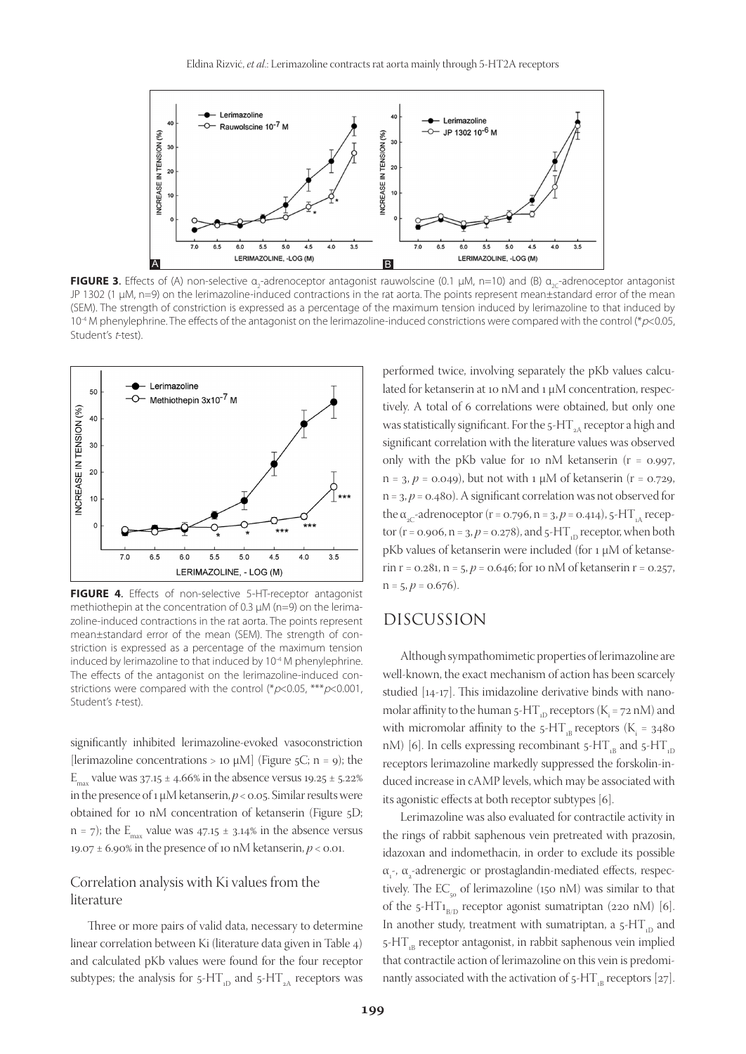

**FIGURE 3.** Effects of (A) non-selective α<sub>2</sub>-adrenoceptor antagonist rauwolscine (0.1 μM, n=10) and (B) α<sub>2C</sub>-adrenoceptor antagonist JP 1302 (1 µM, n=9) on the lerimazoline-induced contractions in the rat aorta. The points represent mean±standard error of the mean (SEM). The strength of constriction is expressed as a percentage of the maximum tension induced by lerimazoline to that induced by 10<sup>-4</sup> M phenylephrine. The effects of the antagonist on the lerimazoline-induced constrictions were compared with the control (\*p<0.05, Student's t-test).



**FIGURE 4**. Effects of non-selective 5-HT-receptor antagonist methiothepin at the concentration of 0.3 µM (n=9) on the lerimazoline-induced contractions in the rat aorta. The points represent mean±standard error of the mean (SEM). The strength of constriction is expressed as a percentage of the maximum tension induced by lerimazoline to that induced by 10<sup>-4</sup> M phenylephrine. The effects of the antagonist on the lerimazoline-induced constrictions were compared with the control (\* $p$ <0.05, \*\*\* $p$ <0.001, Student's t-test).

significantly inhibited lerimazoline-evoked vasoconstriction [lerimazoline concentrations > 10  $\mu$ M] (Figure 5C; n = 9); the  $E_{\text{max}}$  value was 37.15 ± 4.66% in the absence versus 19.25 ± 5.22% in the presence of 1 µM ketanserin, *p* < 0.05. Similar results were obtained for 10 nM concentration of ketanserin (Figure 5D;  $n = 7$ ); the  $E_{\text{max}}$  value was 47.15  $\pm$  3.14% in the absence versus 19.07 ± 6.90% in the presence of 10 nM ketanserin, *p* < 0.01.

## Correlation analysis with Ki values from the literature

Three or more pairs of valid data, necessary to determine linear correlation between Ki (literature data given in Table 4) and calculated pKb values were found for the four receptor subtypes; the analysis for  $5-HT_{1D}$  and  $5-HT_{2A}$  receptors was performed twice, involving separately the pKb values calculated for ketanserin at 10 nM and 1  $\mu$ M concentration, respectively. A total of 6 correlations were obtained, but only one was statistically significant. For the  $5$ -HT<sub>3A</sub> receptor a high and significant correlation with the literature values was observed only with the pKb value for 10 nM ketanserin ( $r = 0.997$ ,  $n = 3$ ,  $p = 0.049$ ), but not with 1  $\mu$ M of ketanserin (r = 0.729, n = 3, *p* = 0.480). A significant correlation was not observed for the  $\alpha_{2C}$ -adrenoceptor (r = 0.796, n = 3, p = 0.414), 5-HT<sub>1</sub> receptor ( $r = 0.906$ ,  $n = 3$ ,  $p = 0.278$ ), and  $5$ -HT<sub>1D</sub> receptor, when both pKb values of ketanserin were included (for 1 µM of ketanserin r = 0.281, n = 5, *p* = 0.646; for 10 nM of ketanserin r = 0.257,  $n = 5, p = 0.676$ .

## DISCUSSION

Although sympathomimetic properties of lerimazoline are well-known, the exact mechanism of action has been scarcely studied [14-17]. This imidazoline derivative binds with nanomolar affinity to the human 5-HT<sub>1D</sub> receptors (K<sub>i</sub> = 72 nM) and with micromolar affinity to the  $5$ -HT<sub>1B</sub> receptors ( $K$ <sub>i</sub> = 3480 nM) [6]. In cells expressing recombinant  $5-HT_{\text{B}}$  and  $5-HT_{\text{D}}$ receptors lerimazoline markedly suppressed the forskolin-induced increase in cAMP levels, which may be associated with its agonistic effects at both receptor subtypes [6].

Lerimazoline was also evaluated for contractile activity in the rings of rabbit saphenous vein pretreated with prazosin, idazoxan and indomethacin, in order to exclude its possible  $\alpha_{1}$ -,  $\alpha_{2}$ -adrenergic or prostaglandin-mediated effects, respectively. The  $EC_{50}$  of lerimazoline (150 nM) was similar to that of the 5-HT<sub>1B/D</sub> receptor agonist sumatriptan (220 nM) [6]. In another study, treatment with sumatriptan, a  $5-HT_{1D}$  and  $5$ -HT<sub>1B</sub> receptor antagonist, in rabbit saphenous vein implied that contractile action of lerimazoline on this vein is predominantly associated with the activation of  $5-HT_{\text{B}}$  receptors [27].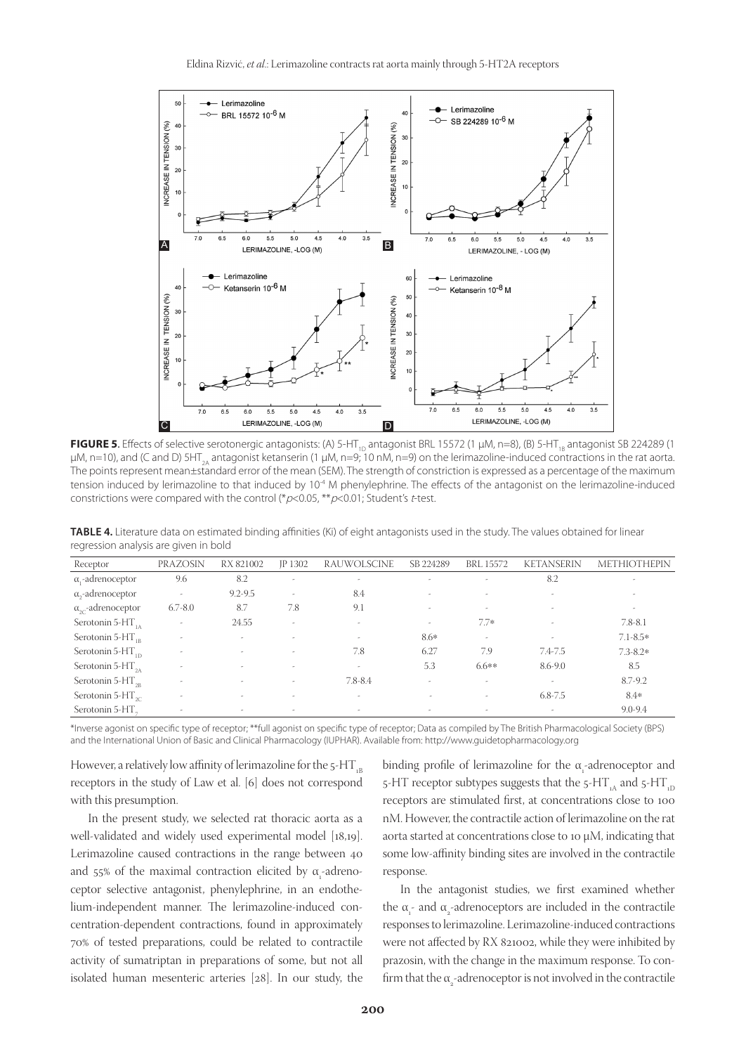

**FIGURE 5.** Effects of selective serotonergic antagonists: (A) 5-HT<sub>1D</sub> antagonist BRL 15572 (1 µM, n=8), (B) 5-HT<sub>1B</sub> antagonist SB 224289 (1  $\mu$ M, n=10), and (C and D) 5HT<sub>2A</sub> antagonist ketanserin (1  $\mu$ M, n=9; 10 nM, n=9) on the lerimazoline-induced contractions in the rat aorta. The points represent mean±standard error of the mean (SEM). The strength of constriction is expressed as a percentage of the maximum tension induced by lerimazoline to that induced by 10<sup>-4</sup> M phenylephrine. The effects of the antagonist on the lerimazoline-induced constrictions were compared with the control (\* $p$ <0.05, \*\* $p$ <0.01; Student's t-test.

**TABLE 4.** Literature data on estimated binding affinities (Ki) of eight antagonists used in the study. The values obtained for linear regression analysis are given in bold

| Receptor                            | PRAZOSIN                 | RX 821002                | JP 1302                  | RAUWOLSCINE              | SB 224289                | <b>BRL 15572</b>         | <b>KETANSERIN</b> | <b>METHIOTHEPIN</b> |
|-------------------------------------|--------------------------|--------------------------|--------------------------|--------------------------|--------------------------|--------------------------|-------------------|---------------------|
| $\alpha_{1}$ -adrenoceptor          | 9.6                      | 8.2                      | ٠                        | ۰                        | ٠                        | $\overline{\phantom{a}}$ | 8.2               |                     |
| $\alpha$ <sub>2</sub> -adrenoceptor | ٠                        | $9.2 - 9.5$              | ٠                        | 8.4                      | ٠                        |                          | $\sim$            |                     |
| $\alpha_{\gamma}$ -adrenoceptor     | $6.7 - 8.0$              | 8.7                      | 7.8                      | 9.1                      | $\overline{\phantom{a}}$ | $\sim$                   |                   | $\sim$              |
| Serotonin 5- $HT_{1A}$              |                          | 24.55                    | $\overline{\phantom{a}}$ |                          | ٠                        | $7.7*$                   |                   | $7.8 - 8.1$         |
| Serotonin 5- $HT_{1R}$              | $\overline{\phantom{a}}$ | ٠                        | $\overline{\phantom{a}}$ | $\overline{\phantom{a}}$ | $8.6*$                   | ٠                        |                   | $7.1 - 8.5*$        |
| Serotonin 5- $HT_{1D}$              | $\sim$                   | ٠                        | $\overline{\phantom{a}}$ | 7.8                      | 6.27                     | 7.9                      | 7.4-7.5           | $7.3 - 8.2*$        |
| Serotonin 5-HT <sub>2A</sub>        |                          | $\overline{\phantom{a}}$ | $\overline{\phantom{a}}$ | $\overline{\phantom{a}}$ | 5.3                      | $6.6**$                  | $8.6 - 9.0$       | 8.5                 |
| Serotonin 5- $HT_{2R}$              | $\sim$                   | $\overline{\phantom{a}}$ | ٠                        | $7.8 - 8.4$              | ٠                        | $\sim$                   | $\sim$            | 8.7-9.2             |
| Serotonin 5-HT $_{\gamma c}$        | ٠                        | $\tilde{\phantom{a}}$    | ٠                        | $\overline{\phantom{a}}$ | $\sim$                   | $\sim$                   | $6.8 - 7.5$       | 8.4*                |
| Serotonin 5-HT.                     |                          | $\tilde{\phantom{a}}$    | ٠                        | $\sim$                   | ٠                        | $\overline{\phantom{a}}$ | $\sim$            | $9.0 - 9.4$         |
|                                     |                          |                          |                          |                          |                          |                          |                   |                     |

\*Inverse agonist on specific type of receptor; \*\*full agonist on specific type of receptor; Data as compiled by The British Pharmacological Society (BPS) and the International Union of Basic and Clinical Pharmacology (IUPHAR). Available from: http://www.guidetopharmacology.org

However, a relatively low affinity of lerimazoline for the  $5$ -HT<sub>1B</sub> receptors in the study of Law et al. [6] does not correspond with this presumption.

In the present study, we selected rat thoracic aorta as a well-validated and widely used experimental model [18,19]. Lerimazoline caused contractions in the range between 40 and 55% of the maximal contraction elicited by  $\alpha$ <sub>1</sub>-adrenoceptor selective antagonist, phenylephrine, in an endothelium-independent manner. The lerimazoline-induced concentration-dependent contractions, found in approximately 70% of tested preparations, could be related to contractile activity of sumatriptan in preparations of some, but not all isolated human mesenteric arteries [28]. In our study, the

binding profile of lerimazoline for the  $\alpha_{1}$ -adrenoceptor and 5-HT receptor subtypes suggests that the  $5$ -HT<sub>1A</sub> and  $5$ -HT<sub>1D</sub> receptors are stimulated first, at concentrations close to 100 nM. However, the contractile action of lerimazoline on the rat aorta started at concentrations close to 10 µM, indicating that some low-affinity binding sites are involved in the contractile response.

In the antagonist studies, we first examined whether the  $\alpha_{i}$ - and  $\alpha_{i}$ -adrenoceptors are included in the contractile responses to lerimazoline. Lerimazoline-induced contractions were not affected by RX 821002, while they were inhibited by prazosin, with the change in the maximum response. To confirm that the  $\alpha_{2}$ -adrenoceptor is not involved in the contractile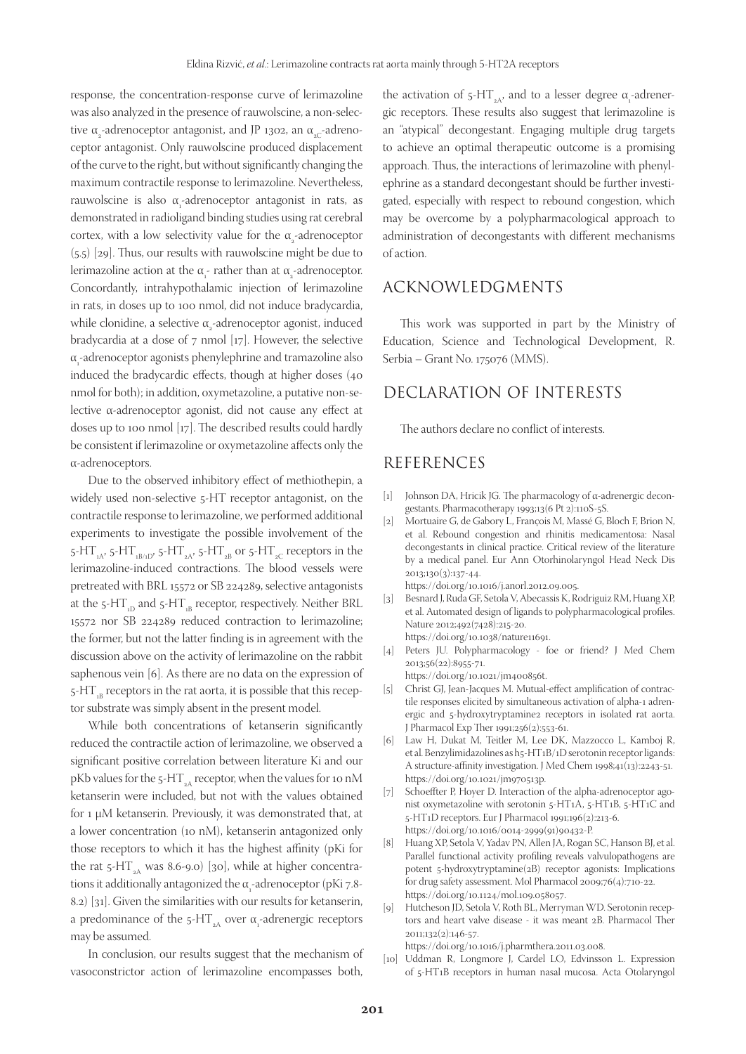response, the concentration-response curve of lerimazoline was also analyzed in the presence of rauwolscine, a non-selective  $\alpha_{\text{\tiny{2}}}$ -adrenoceptor antagonist, and JP 1302, an  $\alpha_{\text{\tiny{2C}}}$ -adrenoceptor antagonist. Only rauwolscine produced displacement of the curve to the right, but without significantly changing the maximum contractile response to lerimazoline. Nevertheless, rauwolscine is also  $α_1$ -adrenoceptor antagonist in rats, as demonstrated in radioligand binding studies using rat cerebral cortex, with a low selectivity value for the  $\alpha_{2}$ -adrenoceptor (5.5) [29]. Thus, our results with rauwolscine might be due to lerimazoline action at the  $\alpha_{\text{r}}$  rather than at  $\alpha_{\text{r}}$  adrenoceptor. Concordantly, intrahypothalamic injection of lerimazoline in rats, in doses up to 100 nmol, did not induce bradycardia, while clonidine, a selective  $\alpha_{_2}$ -adrenoceptor agonist, induced bradycardia at a dose of 7 nmol [17]. However, the selective  $\alpha_{\text{r}}$ -adrenoceptor agonists phenylephrine and tramazoline also induced the bradycardic effects, though at higher doses (40 nmol for both); in addition, oxymetazoline, a putative non-selective α-adrenoceptor agonist, did not cause any effect at doses up to 100 nmol [17]. The described results could hardly be consistent if lerimazoline or oxymetazoline affects only the α-adrenoceptors.

Due to the observed inhibitory effect of methiothepin, a widely used non-selective 5-HT receptor antagonist, on the contractile response to lerimazoline, we performed additional experiments to investigate the possible involvement of the 5-HT $_{\rm nA}$ 5-HT $_{\rm nB/1D'}$ 5-HT $_{\rm nA'}$ 5-HT $_{\rm 2B}$  or 5-HT $_{\rm 2C}$  receptors in the lerimazoline-induced contractions. The blood vessels were pretreated with BRL 15572 or SB 224289, selective antagonists at the 5-HT<sub>1D</sub> and 5-HT<sub>1B</sub> receptor, respectively. Neither BRL 15572 nor SB 224289 reduced contraction to lerimazoline; the former, but not the latter finding is in agreement with the discussion above on the activity of lerimazoline on the rabbit saphenous vein [6]. As there are no data on the expression of  $5$ -HT<sub>18</sub> receptors in the rat aorta, it is possible that this receptor substrate was simply absent in the present model.

While both concentrations of ketanserin significantly reduced the contractile action of lerimazoline, we observed a significant positive correlation between literature Ki and our pKb values for the 5-HT<sub>2A</sub> receptor, when the values for 10 nM ketanserin were included, but not with the values obtained for 1 µM ketanserin. Previously, it was demonstrated that, at a lower concentration (10 nM), ketanserin antagonized only those receptors to which it has the highest affinity (pKi for the rat  $5$ -HT<sub>2A</sub> was 8.6-9.0) [30], while at higher concentrations it additionally antagonized the  $\alpha_{\text{\tiny{l}}}$ -adrenoceptor (pKi 7.8-8.2) [31]. Given the similarities with our results for ketanserin, a predominance of the 5-HT<sub>2A</sub> over  $\alpha_i$ -adrenergic receptors may be assumed.

In conclusion, our results suggest that the mechanism of vasoconstrictor action of lerimazoline encompasses both,

the activation of 5-HT<sub>2A</sub>, and to a lesser degree  $α_1$ -adrenergic receptors. These results also suggest that lerimazoline is an "atypical" decongestant. Engaging multiple drug targets to achieve an optimal therapeutic outcome is a promising approach. Thus, the interactions of lerimazoline with phenylephrine as a standard decongestant should be further investigated, especially with respect to rebound congestion, which may be overcome by a polypharmacological approach to administration of decongestants with different mechanisms of action.

## ACKNOWLEDGMENTS

This work was supported in part by the Ministry of Education, Science and Technological Development, R. Serbia – Grant No. 175076 (MMS).

## DECLARATION OF INTERESTS

The authors declare no conflict of interests.

## REFERENCES

- [1] Johnson DA, Hricik JG. The pharmacology of α-adrenergic decongestants. Pharmacotherapy 1993;13(6 Pt 2):110S-5S.
- [2] Mortuaire G, de Gabory L, François M, Massé G, Bloch F, Brion N, et al. Rebound congestion and rhinitis medicamentosa: Nasal decongestants in clinical practice. Critical review of the literature by a medical panel. Eur Ann Otorhinolaryngol Head Neck Dis 2013;130(3):137-44.
	- https://doi.org/10.1016/j.anorl.2012.09.005.
- [3] Besnard J, Ruda GF, Setola V, Abecassis K, Rodriguiz RM, Huang XP, et al. Automated design of ligands to polypharmacological profiles. Nature 2012;492(7428):215-20. https://doi.org/10.1038/nature11691.
- [4] Peters JU. Polypharmacology foe or friend? J Med Chem 2013;56(22):8955-71.

https://doi.org/10.1021/jm400856t.

- [5] Christ GJ, Jean-Jacques M. Mutual-effect amplification of contractile responses elicited by simultaneous activation of alpha-1 adrenergic and 5-hydroxytryptamine2 receptors in isolated rat aorta. J Pharmacol Exp Ther 1991;256(2):553-61.
- [6] Law H, Dukat M, Teitler M, Lee DK, Mazzocco L, Kamboj R, et al. Benzylimidazolines as h5-HT1B/1D serotonin receptor ligands: A structure-affinity investigation. J Med Chem 1998;41(13):2243-51. https://doi.org/10.1021/jm970513p.
- [7] Schoeffter P, Hoyer D. Interaction of the alpha-adrenoceptor agonist oxymetazoline with serotonin 5-HT1A, 5-HT1B, 5-HT1C and 5-HT1D receptors. Eur J Pharmacol 1991;196(2):213-6. https://doi.org/10.1016/0014-2999(91)90432-P.
- [8] Huang XP, Setola V, Yadav PN, Allen JA, Rogan SC, Hanson BJ, et al. Parallel functional activity profiling reveals valvulopathogens are potent 5-hydroxytryptamine(2B) receptor agonists: Implications for drug safety assessment. Mol Pharmacol 2009;76(4):710-22. https://doi.org/10.1124/mol.109.058057.
- [9] Hutcheson JD, Setola V, Roth BL, Merryman WD. Serotonin receptors and heart valve disease - it was meant 2B. Pharmacol Ther 2011;132(2):146-57.

https://doi.org/10.1016/j.pharmthera.2011.03.008.

[10] Uddman R, Longmore J, Cardel LO, Edvinsson L. Expression of 5-HT1B receptors in human nasal mucosa. Acta Otolaryngol